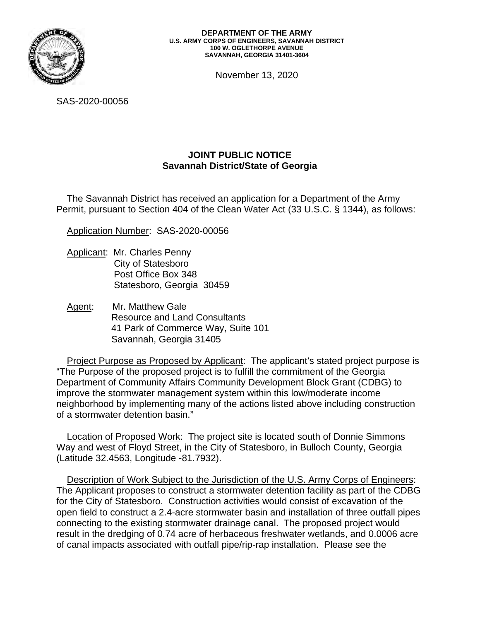

November 13, 2020

SAS-2020-00056

## **JOINT PUBLIC NOTICE Savannah District/State of Georgia**

The Savannah District has received an application for a Department of the Army Permit, pursuant to Section 404 of the Clean Water Act (33 U.S.C. § 1344), as follows:

Application Number: SAS-2020-00056

- Applicant: Mr. Charles Penny City of Statesboro Post Office Box 348 Statesboro, Georgia 30459
- Agent: Mr. Matthew Gale Resource and Land Consultants 41 Park of Commerce Way, Suite 101 Savannah, Georgia 31405

Project Purpose as Proposed by Applicant: The applicant's stated project purpose is "The Purpose of the proposed project is to fulfill the commitment of the Georgia Department of Community Affairs Community Development Block Grant (CDBG) to improve the stormwater management system within this low/moderate income neighborhood by implementing many of the actions listed above including construction of a stormwater detention basin."

Location of Proposed Work: The project site is located south of Donnie Simmons Way and west of Floyd Street, in the City of Statesboro, in Bulloch County, Georgia (Latitude 32.4563, Longitude -81.7932).

Description of Work Subject to the Jurisdiction of the U.S. Army Corps of Engineers: The Applicant proposes to construct a stormwater detention facility as part of the CDBG for the City of Statesboro. Construction activities would consist of excavation of the open field to construct a 2.4-acre stormwater basin and installation of three outfall pipes connecting to the existing stormwater drainage canal. The proposed project would result in the dredging of 0.74 acre of herbaceous freshwater wetlands, and 0.0006 acre of canal impacts associated with outfall pipe/rip-rap installation. Please see the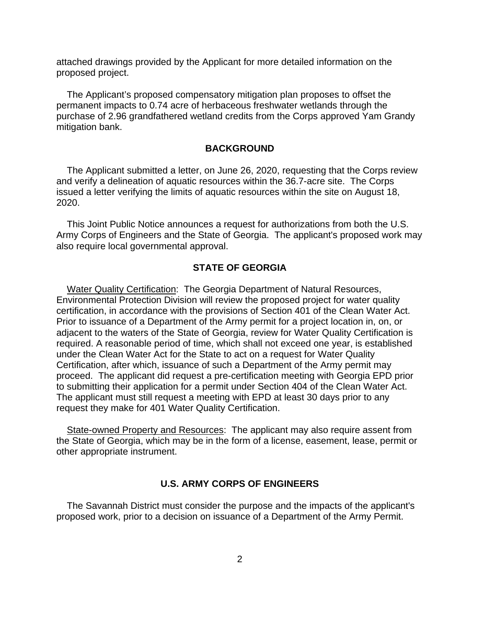attached drawings provided by the Applicant for more detailed information on the proposed project.

The Applicant's proposed compensatory mitigation plan proposes to offset the permanent impacts to 0.74 acre of herbaceous freshwater wetlands through the purchase of 2.96 grandfathered wetland credits from the Corps approved Yam Grandy mitigation bank.

## **BACKGROUND**

The Applicant submitted a letter, on June 26, 2020, requesting that the Corps review and verify a delineation of aquatic resources within the 36.7-acre site. The Corps issued a letter verifying the limits of aquatic resources within the site on August 18, 2020.

This Joint Public Notice announces a request for authorizations from both the U.S. Army Corps of Engineers and the State of Georgia. The applicant's proposed work may also require local governmental approval.

## **STATE OF GEORGIA**

Water Quality Certification: The Georgia Department of Natural Resources, Environmental Protection Division will review the proposed project for water quality certification, in accordance with the provisions of Section 401 of the Clean Water Act. Prior to issuance of a Department of the Army permit for a project location in, on, or adjacent to the waters of the State of Georgia, review for Water Quality Certification is required. A reasonable period of time, which shall not exceed one year, is established under the Clean Water Act for the State to act on a request for Water Quality Certification, after which, issuance of such a Department of the Army permit may proceed. The applicant did request a pre-certification meeting with Georgia EPD prior to submitting their application for a permit under Section 404 of the Clean Water Act. The applicant must still request a meeting with EPD at least 30 days prior to any request they make for 401 Water Quality Certification.

State-owned Property and Resources: The applicant may also require assent from the State of Georgia, which may be in the form of a license, easement, lease, permit or other appropriate instrument.

## **U.S. ARMY CORPS OF ENGINEERS**

The Savannah District must consider the purpose and the impacts of the applicant's proposed work, prior to a decision on issuance of a Department of the Army Permit.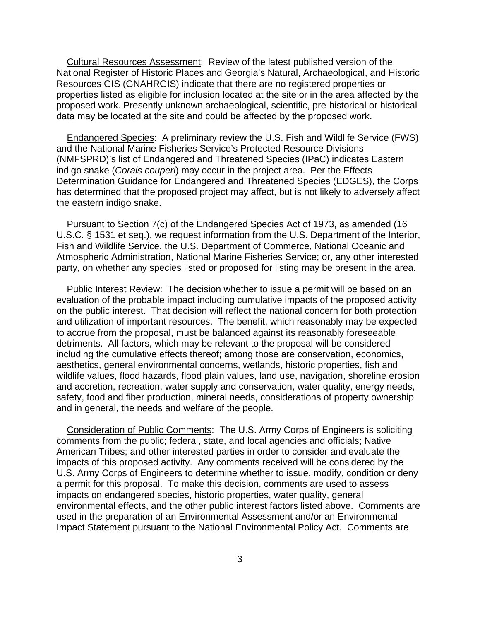Cultural Resources Assessment: Review of the latest published version of the National Register of Historic Places and Georgia's Natural, Archaeological, and Historic Resources GIS (GNAHRGIS) indicate that there are no registered properties or properties listed as eligible for inclusion located at the site or in the area affected by the proposed work. Presently unknown archaeological, scientific, pre-historical or historical data may be located at the site and could be affected by the proposed work.

Endangered Species: A preliminary review the U.S. Fish and Wildlife Service (FWS) and the National Marine Fisheries Service's Protected Resource Divisions (NMFSPRD)'s list of Endangered and Threatened Species (IPaC) indicates Eastern indigo snake (*Corais couperi*) may occur in the project area. Per the Effects Determination Guidance for Endangered and Threatened Species (EDGES), the Corps has determined that the proposed project may affect, but is not likely to adversely affect the eastern indigo snake.

Pursuant to Section 7(c) of the Endangered Species Act of 1973, as amended (16 U.S.C. § 1531 et seq.), we request information from the U.S. Department of the Interior, Fish and Wildlife Service, the U.S. Department of Commerce, National Oceanic and Atmospheric Administration, National Marine Fisheries Service; or, any other interested party, on whether any species listed or proposed for listing may be present in the area.

Public Interest Review: The decision whether to issue a permit will be based on an evaluation of the probable impact including cumulative impacts of the proposed activity on the public interest. That decision will reflect the national concern for both protection and utilization of important resources. The benefit, which reasonably may be expected to accrue from the proposal, must be balanced against its reasonably foreseeable detriments. All factors, which may be relevant to the proposal will be considered including the cumulative effects thereof; among those are conservation, economics, aesthetics, general environmental concerns, wetlands, historic properties, fish and wildlife values, flood hazards, flood plain values, land use, navigation, shoreline erosion and accretion, recreation, water supply and conservation, water quality, energy needs, safety, food and fiber production, mineral needs, considerations of property ownership and in general, the needs and welfare of the people.

Consideration of Public Comments: The U.S. Army Corps of Engineers is soliciting comments from the public; federal, state, and local agencies and officials; Native American Tribes; and other interested parties in order to consider and evaluate the impacts of this proposed activity. Any comments received will be considered by the U.S. Army Corps of Engineers to determine whether to issue, modify, condition or deny a permit for this proposal. To make this decision, comments are used to assess impacts on endangered species, historic properties, water quality, general environmental effects, and the other public interest factors listed above. Comments are used in the preparation of an Environmental Assessment and/or an Environmental Impact Statement pursuant to the National Environmental Policy Act. Comments are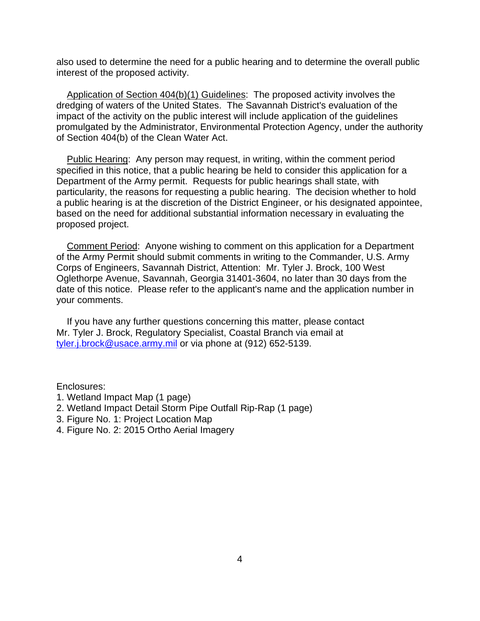also used to determine the need for a public hearing and to determine the overall public interest of the proposed activity.

Application of Section 404(b)(1) Guidelines: The proposed activity involves the dredging of waters of the United States. The Savannah District's evaluation of the impact of the activity on the public interest will include application of the guidelines promulgated by the Administrator, Environmental Protection Agency, under the authority of Section 404(b) of the Clean Water Act.

Public Hearing: Any person may request, in writing, within the comment period specified in this notice, that a public hearing be held to consider this application for a Department of the Army permit. Requests for public hearings shall state, with particularity, the reasons for requesting a public hearing. The decision whether to hold a public hearing is at the discretion of the District Engineer, or his designated appointee, based on the need for additional substantial information necessary in evaluating the proposed project.

Comment Period: Anyone wishing to comment on this application for a Department of the Army Permit should submit comments in writing to the Commander, U.S. Army Corps of Engineers, Savannah District, Attention: Mr. Tyler J. Brock, 100 West Oglethorpe Avenue, Savannah, Georgia 31401-3604, no later than 30 days from the date of this notice. Please refer to the applicant's name and the application number in your comments.

If you have any further questions concerning this matter, please contact Mr. Tyler J. Brock, Regulatory Specialist, Coastal Branch via email at [tyler.j.brock@usace.army.mil](mailto:tyler.j.brock@usace.army.mil) or via phone at (912) 652-5139.

Enclosures:

- 1. Wetland Impact Map (1 page)
- 2. Wetland Impact Detail Storm Pipe Outfall Rip-Rap (1 page)
- 3. Figure No. 1: Project Location Map
- 4. Figure No. 2: 2015 Ortho Aerial Imagery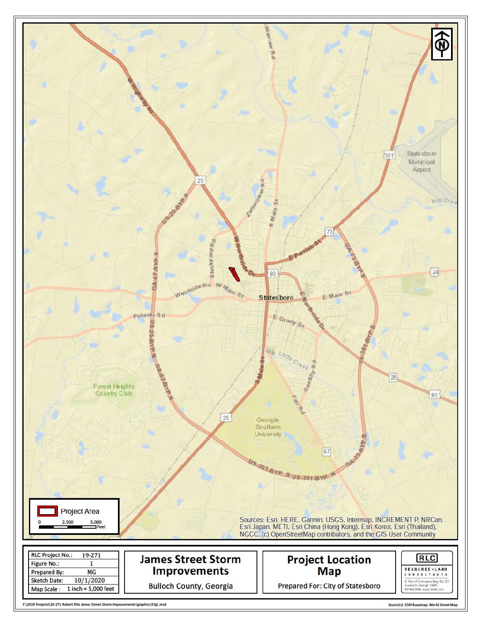

Y\2019 Projects\19-271 Robert Ellis James Street Storm Improvements\graphics\Fig1.mxd

Source(s) ESRI Basemap, World Street Map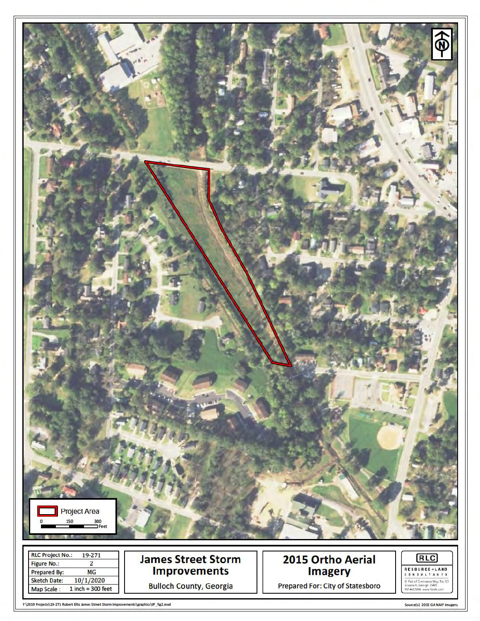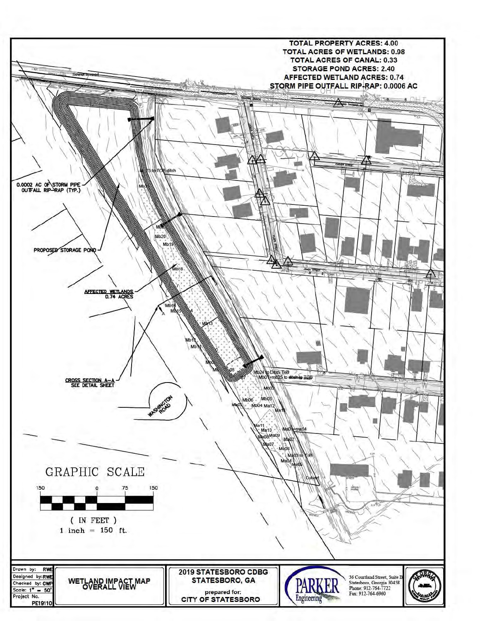